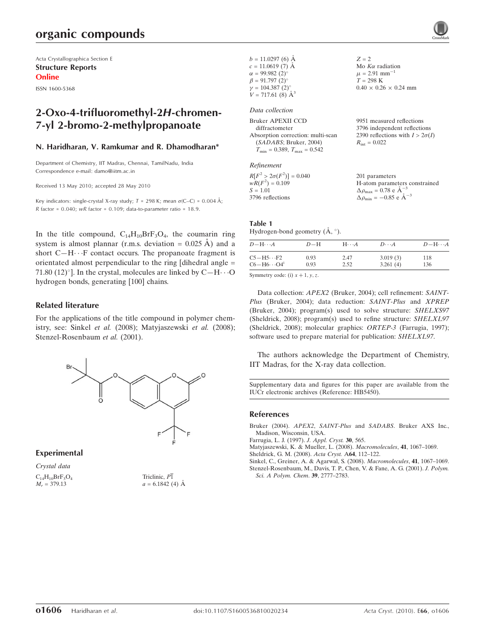# organic compounds

Acta Crystallographica Section E Structure Reports Online

ISSN 1600-5368

# 2-Oxo-4-trifluoromethyl-2H-chromen-7-yl 2-bromo-2-methylpropanoate

#### N. Haridharan, V. Ramkumar and R. Dhamodharan\*

Department of Chemistry, IIT Madras, Chennai, TamilNadu, India Correspondence e-mail: damo@iitm.ac.in

Received 13 May 2010; accepted 28 May 2010

Key indicators: single-crystal X-ray study;  $T = 298$  K; mean  $\sigma$ (C–C) = 0.004 Å;  $R$  factor = 0.040; wR factor = 0.109; data-to-parameter ratio = 18.9.

In the title compound,  $C_{14}H_{10}BrF_3O_4$ , the coumarin ring system is almost plannar (r.m.s. deviation =  $0.025 \text{ Å}$ ) and a short  $C-H \cdots F$  contact occurs. The propanoate fragment is orientated almost perpendicular to the ring [dihedral angle = 71.80  $(12)^{\circ}$ ]. In the crystal, molecules are linked by C-H $\cdots$ O hydrogen bonds, generating [100] chains.

#### Related literature

For the applications of the title compound in polymer chemistry, see: Sinkel et al. (2008); Matyjaszewski et al. (2008); Stenzel-Rosenbaum et al. (2001).



#### Experimental

Crystal data  $C_{14}H_{10}BrF_{3}O_{4}$  $M_r = 379.13$ 

Triclinic,  $P\overline{1}$  $a = 6.1842(4)$  Å

| $b = 11.0297(6)$ Å<br>$c = 11.0619(7)$ Å<br>$\alpha = 99.982(2)$ °<br>$\beta = 91.797(2)$ °<br>$\gamma = 104.387(2)$ °<br>$V = 717.61(8)$ $\AA^3$                         | $Z = 2$<br>Mo $K\alpha$ radiation<br>$\mu = 2.91$ mm <sup>-1</sup><br>$T = 298 \text{ K}$<br>$0.40 \times 0.26 \times 0.24$ mm |  |  |  |
|---------------------------------------------------------------------------------------------------------------------------------------------------------------------------|--------------------------------------------------------------------------------------------------------------------------------|--|--|--|
| Data collection<br>Bruker APEXII CCD<br>diffractometer<br>Absorption correction: multi-scan<br>(SADABS; Bruker, 2004)<br>$T_{\text{min}} = 0.389, T_{\text{max}} = 0.542$ | 9951 measured reflections<br>3796 independent reflections<br>2390 reflections with $I > 2\sigma(I)$<br>$R_{\rm int} = 0.022$   |  |  |  |
| Refinement<br>$R[F^2 > 2\sigma(F^2)] = 0.040$<br>$wR(F^2) = 0.109$<br>$S = 1.01$                                                                                          | 201 parameters<br>H-atom parameters constrained<br>$\Delta \rho_{\text{max}} = 0.78$ e $\rm{\AA}^{-3}$                         |  |  |  |

#### Table 1

3796 reflections

Hydrogen-bond geometry  $(\AA, \degree)$ .

| $D - H \cdots A$                 | $D-H$ | $H\cdots A$ | $D\cdots A$ | $D - H \cdots A$ |
|----------------------------------|-------|-------------|-------------|------------------|
| $C5 - H5 \cdots F2$              | 0.93  | 2.47        | 3.019(3)    | 118              |
| $C6 - H6 \cdots O4$ <sup>i</sup> | 0.93  | 2.52        | 3.261(4)    | 136              |

 $\Delta \rho_{\rm min} = -0.85 \text{ e A}^{-3}$ 

Symmetry code: (i)  $x + 1$ ,  $y$ , z.

Data collection: APEX2 (Bruker, 2004); cell refinement: SAINT-Plus (Bruker, 2004); data reduction: SAINT-Plus and XPREP (Bruker, 2004); program(s) used to solve structure: SHELXS97 (Sheldrick, 2008); program(s) used to refine structure: SHELXL97 (Sheldrick, 2008); molecular graphics: ORTEP-3 (Farrugia, 1997); software used to prepare material for publication: SHELXL97.

The authors acknowledge the Department of Chemistry, IIT Madras, for the X-ray data collection.

Supplementary data and figures for this paper are available from the IUCr electronic archives (Reference: HB5450).

#### References

Bruker (2004). APEX2, SAINT-Plus and SADABS[. Bruker AXS Inc.,](http://scripts.iucr.org/cgi-bin/cr.cgi?rm=pdfbb&cnor=hb5450&bbid=BB1) [Madison, Wisconsin, USA.](http://scripts.iucr.org/cgi-bin/cr.cgi?rm=pdfbb&cnor=hb5450&bbid=BB1)

[Farrugia, L. J. \(1997\).](http://scripts.iucr.org/cgi-bin/cr.cgi?rm=pdfbb&cnor=hb5450&bbid=BB2) J. Appl. Cryst. 30, 565.

[Matyjaszewski, K. & Mueller, L. \(2008\).](http://scripts.iucr.org/cgi-bin/cr.cgi?rm=pdfbb&cnor=hb5450&bbid=BB3) Macromolecules, 41, 1067–1069. [Sheldrick, G. M. \(2008\).](http://scripts.iucr.org/cgi-bin/cr.cgi?rm=pdfbb&cnor=hb5450&bbid=BB4) Acta Cryst. A64, 112–122.

[Sinkel, C., Greiner, A. & Agarwal, S. \(2008\).](http://scripts.iucr.org/cgi-bin/cr.cgi?rm=pdfbb&cnor=hb5450&bbid=BB5) Macromolecules, 41, 1067–1069. [Stenzel-Rosenbaum, M., Davis, T. P., Chen, V. & Fane, A. G. \(2001\).](http://scripts.iucr.org/cgi-bin/cr.cgi?rm=pdfbb&cnor=hb5450&bbid=BB6) J. Polym. [Sci. A Polym. Chem](http://scripts.iucr.org/cgi-bin/cr.cgi?rm=pdfbb&cnor=hb5450&bbid=BB6). 39, 2777–2783.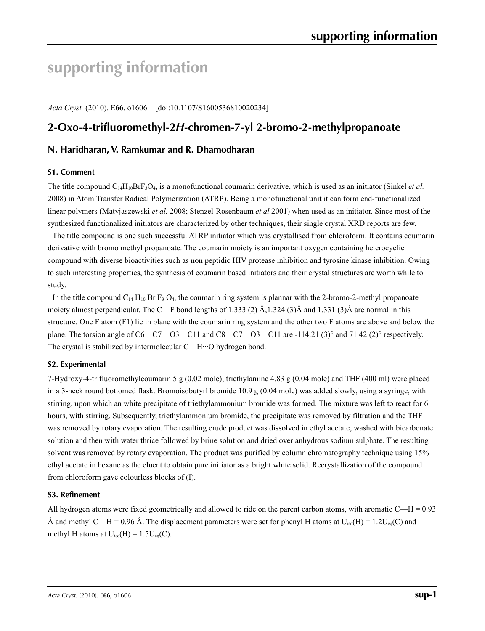# **supporting information**

*Acta Cryst.* (2010). E**66**, o1606 [doi:10.1107/S1600536810020234]

# **2-Oxo-4-trifluoromethyl-2***H***-chromen-7-yl 2-bromo-2-methylpropanoate**

## **N. Haridharan, V. Ramkumar and R. Dhamodharan**

#### **S1. Comment**

The title compound  $C_{14}H_{10}Br_{3}O_4$ , is a monofunctional coumarin derivative, which is used as an initiator (Sinkel *et al.*) 2008) in Atom Transfer Radical Polymerization (ATRP). Being a monofunctional unit it can form end-functionalized linear polymers (Matyjaszewski *et al.* 2008; Stenzel-Rosenbaum *et al.*2001) when used as an initiator. Since most of the synthesized functionalized initiators are characterized by other techniques, their single crystal XRD reports are few.

The title compound is one such successful ATRP initiator which was crystallised from chloroform. It contains coumarin derivative with bromo methyl propanoate. The coumarin moiety is an important oxygen containing heterocyclic compound with diverse bioactivities such as non peptidic HIV protease inhibition and tyrosine kinase inhibition. Owing to such interesting properties, the synthesis of coumarin based initiators and their crystal structures are worth while to study.

In the title compound  $C_{14}$  H<sub>10</sub> Br F<sub>3</sub> O<sub>4</sub>, the coumarin ring system is plannar with the 2-bromo-2-methyl propanoate moiety almost perpendicular. The C—F bond lengths of 1.333 (2)  $\AA$ ,1.324 (3) $\AA$  and 1.331 (3) $\AA$  are normal in this structure. One F atom (F1) lie in plane with the coumarin ring system and the other two F atoms are above and below the plane. The torsion angle of  $C6-C7$ — $C3$ — $C11$  and  $C8$ — $C7$ — $O3$ — $C11$  are -114.21 (3)° and 71.42 (2)° respectively. The crystal is stabilized by intermolecular C—H···O hydrogen bond.

#### **S2. Experimental**

7-Hydroxy-4-trifluoromethylcoumarin 5 g (0.02 mole), triethylamine 4.83 g (0.04 mole) and THF (400 ml) were placed in a 3-neck round bottomed flask. Bromoisobutyrl bromide 10.9 g (0.04 mole) was added slowly, using a syringe, with stirring, upon which an white precipitate of triethylammonium bromide was formed. The mixture was left to react for 6 hours, with stirring. Subsequently, triethylammonium bromide, the precipitate was removed by filtration and the THF was removed by rotary evaporation. The resulting crude product was dissolved in ethyl acetate, washed with bicarbonate solution and then with water thrice followed by brine solution and dried over anhydrous sodium sulphate. The resulting solvent was removed by rotary evaporation. The product was purified by column chromatography technique using 15% ethyl acetate in hexane as the eluent to obtain pure initiator as a bright white solid. Recrystallization of the compound from chloroform gave colourless blocks of (I).

### **S3. Refinement**

All hydrogen atoms were fixed geometrically and allowed to ride on the parent carbon atoms, with aromatic  $C-H = 0.93$ Å and methyl C—H = 0.96 Å. The displacement parameters were set for phenyl H atoms at  $U_{iso}(H) = 1.2U_{eq}(C)$  and methyl H atoms at  $U_{iso}(H) = 1.5U_{eq}(C)$ .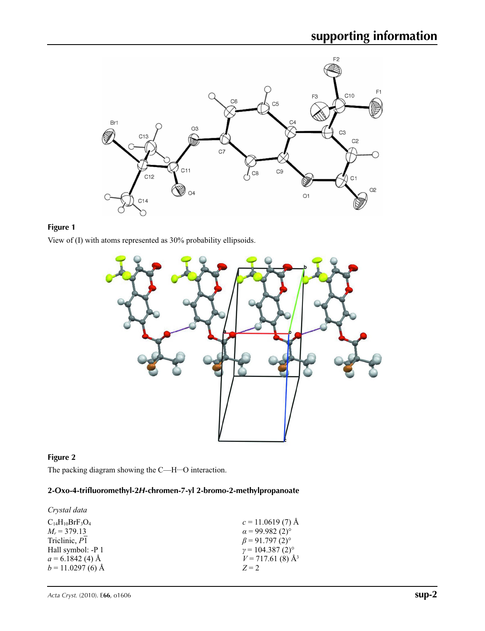

## **Figure 1**

View of (I) with atoms represented as 30% probability ellipsoids.



## **Figure 2**

The packing diagram showing the C—H···O interaction.

## **2-Oxo-4-trifluoromethyl-2***H***-chromen-7-yl 2-bromo-2-methylpropanoate**

| Crystal data           |                                    |
|------------------------|------------------------------------|
| $C_{14}H_{10}BrF_3O_4$ | $c = 11.0619(7)$ Å                 |
| $M_r = 379.13$         | $\alpha$ = 99.982 (2) <sup>o</sup> |
| Triclinic, P1          | $\beta$ = 91.797 (2) <sup>o</sup>  |
| Hall symbol: -P 1      | $\gamma = 104.387(2)^{\circ}$      |
| $a = 6.1842(4)$ Å      | $V = 717.61(8)$ Å <sup>3</sup>     |
| $b = 11.0297(6)$ Å     | $Z = 2$                            |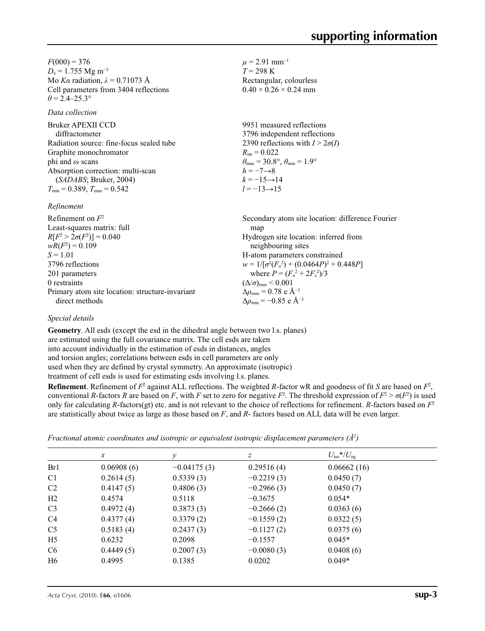$F(000) = 376$  $D_x = 1.755$  Mg m<sup>-3</sup> Mo *Kα* radiation, *λ* = 0.71073 Å Cell parameters from 3404 reflections  $\theta$  = 2.4–25.3°

#### *Data collection*

Bruker APEXII CCD diffractometer Radiation source: fine-focus sealed tube Graphite monochromator phi and *ω* scans Absorption correction: multi-scan (*SADABS*; Bruker, 2004)  $T_{\text{min}} = 0.389, T_{\text{max}} = 0.542$ 

Primary atom site location: structure-invariant

#### *Refinement*

Refinement on *F*<sup>2</sup> Least-squares matrix: full *R*[ $F^2 > 2\sigma(F^2)$ ] = 0.040  $wR(F^2) = 0.109$  $S = 1.01$ 3796 reflections 201 parameters 0 restraints

 $\mu$  = 2.91 mm<sup>-1</sup>  $T = 298 \text{ K}$ Rectangular, colourless  $0.40 \times 0.26 \times 0.24$  mm

9951 measured reflections 3796 independent reflections 2390 reflections with  $I > 2\sigma(I)$  $R_{\text{int}} = 0.022$  $\theta_{\text{max}} = 30.8^{\circ}, \theta_{\text{min}} = 1.9^{\circ}$  $h = -7 \rightarrow 8$  $k = -15 \rightarrow 14$ *l* = −13→15

Secondary atom site location: difference Fourier map Hydrogen site location: inferred from neighbouring sites H-atom parameters constrained  $w = 1/[\sigma^2 (F_o^2) + (0.0464P)^2 + 0.448P]$ where  $P = (F_o^2 + 2F_c^2)/3$  $(\Delta/\sigma)_{\text{max}}$  < 0.001  $\Delta\rho_{\rm max}$  = 0.78 e Å<sup>-3</sup>  $\Delta\rho_{\rm min}$  = −0.85 e Å<sup>-3</sup>

#### *Special details*

direct methods

**Geometry**. All esds (except the esd in the dihedral angle between two l.s. planes) are estimated using the full covariance matrix. The cell esds are taken into account individually in the estimation of esds in distances, angles and torsion angles; correlations between esds in cell parameters are only used when they are defined by crystal symmetry. An approximate (isotropic) treatment of cell esds is used for estimating esds involving l.s. planes.

**Refinement**. Refinement of  $F^2$  against ALL reflections. The weighted R-factor wR and goodness of fit *S* are based on  $F^2$ , conventional *R*-factors *R* are based on *F*, with *F* set to zero for negative  $F^2$ . The threshold expression of  $F^2 > \sigma(F^2)$  is used only for calculating *R*-factors(gt) etc. and is not relevant to the choice of reflections for refinement. *R*-factors based on  $F<sup>2</sup>$ are statistically about twice as large as those based on *F*, and *R*- factors based on ALL data will be even larger.

|  | Fractional atomic coordinates and isotropic or equivalent isotropic displacement parameters ( $\AA^2$ ) |  |  |  |  |  |  |  |
|--|---------------------------------------------------------------------------------------------------------|--|--|--|--|--|--|--|
|--|---------------------------------------------------------------------------------------------------------|--|--|--|--|--|--|--|

|                | $\mathcal{X}$ | ν             | $\boldsymbol{Z}$ | $U_{\rm iso}$ */ $U_{\rm eq}$ |  |
|----------------|---------------|---------------|------------------|-------------------------------|--|
| Br1            | 0.06908(6)    | $-0.04175(3)$ | 0.29516(4)       | 0.06662(16)                   |  |
| C <sub>1</sub> | 0.2614(5)     | 0.5339(3)     | $-0.2219(3)$     | 0.0450(7)                     |  |
| C <sub>2</sub> | 0.4147(5)     | 0.4806(3)     | $-0.2966(3)$     | 0.0450(7)                     |  |
| H2             | 0.4574        | 0.5118        | $-0.3675$        | $0.054*$                      |  |
| C <sub>3</sub> | 0.4972(4)     | 0.3873(3)     | $-0.2666(2)$     | 0.0363(6)                     |  |
| C <sub>4</sub> | 0.4377(4)     | 0.3379(2)     | $-0.1559(2)$     | 0.0322(5)                     |  |
| C <sub>5</sub> | 0.5183(4)     | 0.2437(3)     | $-0.1127(2)$     | 0.0375(6)                     |  |
| H <sub>5</sub> | 0.6232        | 0.2098        | $-0.1557$        | $0.045*$                      |  |
| C <sub>6</sub> | 0.4449(5)     | 0.2007(3)     | $-0.0080(3)$     | 0.0408(6)                     |  |
| H <sub>6</sub> | 0.4995        | 0.1385        | 0.0202           | $0.049*$                      |  |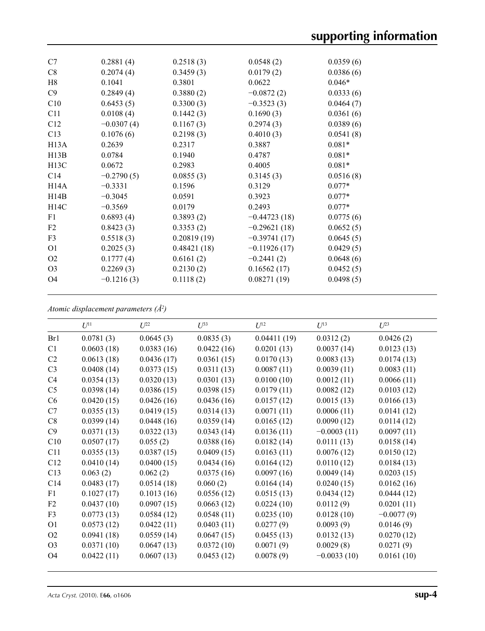| C7                | 0.2881(4)    | 0.2518(3)   | 0.0548(2)      | 0.0359(6) |
|-------------------|--------------|-------------|----------------|-----------|
| C8                | 0.2074(4)    | 0.3459(3)   | 0.0179(2)      | 0.0386(6) |
| H8                | 0.1041       | 0.3801      | 0.0622         | $0.046*$  |
| C9                | 0.2849(4)    | 0.3880(2)   | $-0.0872(2)$   | 0.0333(6) |
| C10               | 0.6453(5)    | 0.3300(3)   | $-0.3523(3)$   | 0.0464(7) |
| C11               | 0.0108(4)    | 0.1442(3)   | 0.1690(3)      | 0.0361(6) |
| C12               | $-0.0307(4)$ | 0.1167(3)   | 0.2974(3)      | 0.0389(6) |
| C13               | 0.1076(6)    | 0.2198(3)   | 0.4010(3)      | 0.0541(8) |
| H <sub>13</sub> A | 0.2639       | 0.2317      | 0.3887         | $0.081*$  |
| H13B              | 0.0784       | 0.1940      | 0.4787         | $0.081*$  |
| H <sub>13</sub> C | 0.0672       | 0.2983      | 0.4005         | $0.081*$  |
| C14               | $-0.2790(5)$ | 0.0855(3)   | 0.3145(3)      | 0.0516(8) |
| H <sub>14</sub> A | $-0.3331$    | 0.1596      | 0.3129         | $0.077*$  |
| H14B              | $-0.3045$    | 0.0591      | 0.3923         | $0.077*$  |
| H14C              | $-0.3569$    | 0.0179      | 0.2493         | $0.077*$  |
| F1                | 0.6893(4)    | 0.3893(2)   | $-0.44723(18)$ | 0.0775(6) |
| F2                | 0.8423(3)    | 0.3353(2)   | $-0.29621(18)$ | 0.0652(5) |
| F3                | 0.5518(3)    | 0.20819(19) | $-0.39741(17)$ | 0.0645(5) |
| O <sub>1</sub>    | 0.2025(3)    | 0.48421(18) | $-0.11926(17)$ | 0.0429(5) |
| O <sub>2</sub>    | 0.1777(4)    | 0.6161(2)   | $-0.2441(2)$   | 0.0648(6) |
| O <sub>3</sub>    | 0.2269(3)    | 0.2130(2)   | 0.16562(17)    | 0.0452(5) |
| <b>O4</b>         | $-0.1216(3)$ | 0.1118(2)   | 0.08271(19)    | 0.0498(5) |
|                   |              |             |                |           |

*Atomic displacement parameters (Å2 )*

|                | $U^{11}$   | $U^{22}$   | $U^{33}$   | $U^{12}$    | $U^{13}$      | $U^{23}$     |
|----------------|------------|------------|------------|-------------|---------------|--------------|
| Br1            | 0.0781(3)  | 0.0645(3)  | 0.0835(3)  | 0.04411(19) | 0.0312(2)     | 0.0426(2)    |
| C <sub>1</sub> | 0.0603(18) | 0.0383(16) | 0.0422(16) | 0.0201(13)  | 0.0037(14)    | 0.0123(13)   |
| C <sub>2</sub> | 0.0613(18) | 0.0436(17) | 0.0361(15) | 0.0170(13)  | 0.0083(13)    | 0.0174(13)   |
| C <sub>3</sub> | 0.0408(14) | 0.0373(15) | 0.0311(13) | 0.0087(11)  | 0.0039(11)    | 0.0083(11)   |
| C <sub>4</sub> | 0.0354(13) | 0.0320(13) | 0.0301(13) | 0.0100(10)  | 0.0012(11)    | 0.0066(11)   |
| C <sub>5</sub> | 0.0398(14) | 0.0386(15) | 0.0398(15) | 0.0179(11)  | 0.0082(12)    | 0.0103(12)   |
| C6             | 0.0420(15) | 0.0426(16) | 0.0436(16) | 0.0157(12)  | 0.0015(13)    | 0.0166(13)   |
| C7             | 0.0355(13) | 0.0419(15) | 0.0314(13) | 0.0071(11)  | 0.0006(11)    | 0.0141(12)   |
| C8             | 0.0399(14) | 0.0448(16) | 0.0359(14) | 0.0165(12)  | 0.0090(12)    | 0.0114(12)   |
| C9             | 0.0371(13) | 0.0322(13) | 0.0343(14) | 0.0136(11)  | $-0.0003(11)$ | 0.0097(11)   |
| C10            | 0.0507(17) | 0.055(2)   | 0.0388(16) | 0.0182(14)  | 0.0111(13)    | 0.0158(14)   |
| C11            | 0.0355(13) | 0.0387(15) | 0.0409(15) | 0.0163(11)  | 0.0076(12)    | 0.0150(12)   |
| C12            | 0.0410(14) | 0.0400(15) | 0.0434(16) | 0.0164(12)  | 0.0110(12)    | 0.0184(13)   |
| C13            | 0.063(2)   | 0.062(2)   | 0.0375(16) | 0.0097(16)  | 0.0049(14)    | 0.0203(15)   |
| C14            | 0.0483(17) | 0.0514(18) | 0.060(2)   | 0.0164(14)  | 0.0240(15)    | 0.0162(16)   |
| F1             | 0.1027(17) | 0.1013(16) | 0.0556(12) | 0.0515(13)  | 0.0434(12)    | 0.0444(12)   |
| F2             | 0.0437(10) | 0.0907(15) | 0.0663(12) | 0.0224(10)  | 0.0112(9)     | 0.0201(11)   |
| F3             | 0.0773(13) | 0.0584(12) | 0.0548(11) | 0.0235(10)  | 0.0128(10)    | $-0.0077(9)$ |
| O <sub>1</sub> | 0.0573(12) | 0.0422(11) | 0.0403(11) | 0.0277(9)   | 0.0093(9)     | 0.0146(9)    |
| O2             | 0.0941(18) | 0.0559(14) | 0.0647(15) | 0.0455(13)  | 0.0132(13)    | 0.0270(12)   |
| O <sub>3</sub> | 0.0371(10) | 0.0647(13) | 0.0372(10) | 0.0071(9)   | 0.0029(8)     | 0.0271(9)    |
| O <sub>4</sub> | 0.0422(11) | 0.0607(13) | 0.0453(12) | 0.0078(9)   | $-0.0033(10)$ | 0.0161(10)   |
|                |            |            |            |             |               |              |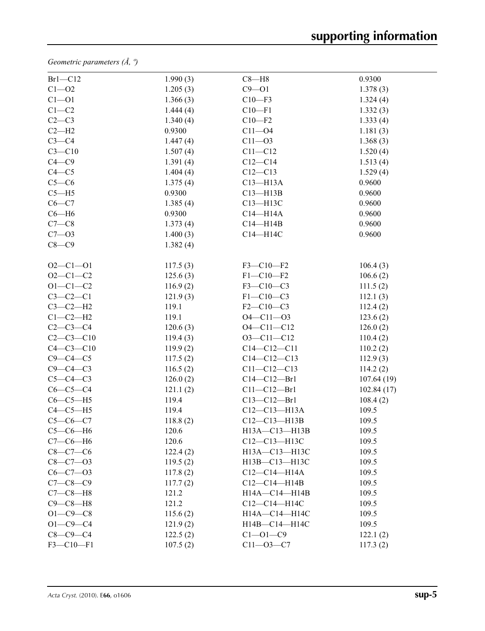*Geometric parameters (Å, º)*

| $Br1-C12$       | 1.990(3) | $C8 - H8$          | 0.9300      |
|-----------------|----------|--------------------|-------------|
| $C1 - 02$       | 1.205(3) | $C9 - 01$          | 1.378(3)    |
| $C1 - 01$       | 1.366(3) | $C10 - F3$         | 1.324(4)    |
| $C1-C2$         | 1.444(4) | $C10-F1$           | 1.332(3)    |
| $C2-C3$         | 1.340(4) | $C10 - F2$         | 1.333(4)    |
| $C2-H2$         | 0.9300   | $C11 - 04$         | 1.181(3)    |
| $C3-C4$         | 1.447(4) | $C11 - O3$         | 1.368(3)    |
| $C3 - C10$      | 1.507(4) | $C11 - C12$        | 1.520(4)    |
| $C4 - C9$       | 1.391(4) | $C12-C14$          | 1.513(4)    |
| $C4 - C5$       | 1.404(4) | $C12 - C13$        | 1.529(4)    |
| $C5-C6$         | 1.375(4) | $C13 - H13A$       | 0.9600      |
| $C5 - H5$       | 0.9300   | $C13 - H13B$       | 0.9600      |
| $C6-C7$         | 1.385(4) | C13-H13C           | 0.9600      |
| $C6 - H6$       | 0.9300   | $C14 - H14A$       | 0.9600      |
| $C7-C8$         | 1.373(4) | $C14 - H14B$       | 0.9600      |
| $C7 - 03$       | 1.400(3) | C14-H14C           | 0.9600      |
| $C8-C9$         | 1.382(4) |                    |             |
| $O2 - C1 - O1$  | 117.5(3) | $F3-C10-F2$        | 106.4(3)    |
| $O2 - C1 - C2$  | 125.6(3) | $F1 - C10 - F2$    | 106.6(2)    |
| $O1 - C1 - C2$  | 116.9(2) | F3-C10-C3          | 111.5(2)    |
| $C3-C2-C1$      | 121.9(3) | $F1 - C10 - C3$    | 112.1(3)    |
| $C3-C2-H2$      | 119.1    | $F2-C10-C3$        | 112.4(2)    |
| $C1-C2-H2$      | 119.1    | $O4 - C11 - O3$    | 123.6(2)    |
| $C2-C3-C4$      | 120.6(3) | $O4 - C11 - C12$   | 126.0(2)    |
| $C2 - C3 - C10$ | 119.4(3) | $O3 - C11 - C12$   | 110.4(2)    |
| $C4 - C3 - C10$ | 119.9(2) | $C14 - C12 - C11$  | 110.2(2)    |
| $C9-C4-C5$      | 117.5(2) | $C14 - C12 - C13$  | 112.9(3)    |
| $C9 - C4 - C3$  | 116.5(2) | $C11 - C12 - C13$  | 114.2(2)    |
| $C5-C4-C3$      | 126.0(2) | $C14 - C12 - Br1$  | 107.64(19)  |
| $C6-C5-C4$      | 121.1(2) | $C11 - C12 - Br1$  | 102.84 (17) |
| $C6-C5-H5$      | 119.4    | $C13 - C12 - Br1$  | 108.4(2)    |
| $C4-C5-H5$      | 119.4    | $C12 - C13 - H13A$ | 109.5       |
| $C5-C6-C7$      | 118.8(2) | $C12 - C13 - H13B$ | 109.5       |
| $C5-C6-H6$      | 120.6    | H13A-C13-H13B      | 109.5       |
| $C7-C6-H6$      | 120.6    | C12-C13-H13C       | 109.5       |
| $C8-C7-C6$      | 122.4(2) | H13A-C13-H13C      | 109.5       |
| $C8 - C7 - O3$  | 119.5(2) | H13B-C13-H13C      | 109.5       |
| $C6 - C7 - O3$  | 117.8(2) | $C12-C14-H14A$     | 109.5       |
| $C7 - C8 - C9$  | 117.7(2) | $C12-C14-H14B$     | 109.5       |
| $C7-C8-H8$      | 121.2    | H14A-C14-H14B      | 109.5       |
| $C9 - C8 - H8$  | 121.2    | C12-C14-H14C       | 109.5       |
| $O1 - C9 - C8$  | 115.6(2) | H14A-C14-H14C      | 109.5       |
| $O1 - C9 - C4$  | 121.9(2) | H14B-C14-H14C      | 109.5       |
| $C8-C9-C4$      | 122.5(2) | $C1 - 01 - C9$     | 122.1(2)    |
| $F3 - C10 - F1$ | 107.5(2) | $C11 - 03 - C7$    | 117.3(2)    |